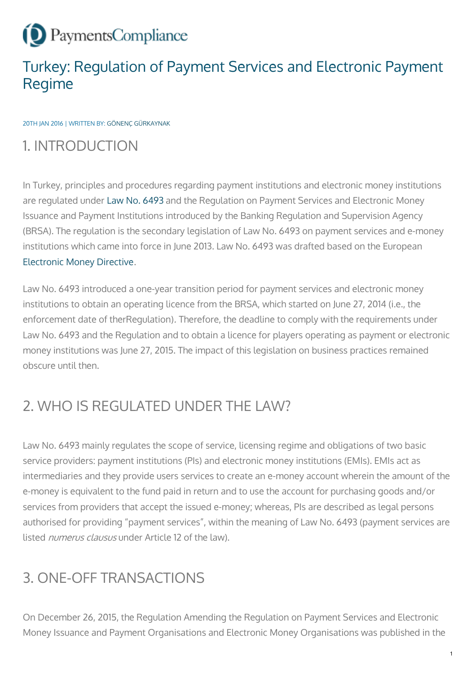

### Turkey: Regulation of Payment Services and Electronic Payment Regime

20TH JAN 2016 | WRITTEN BY: GÖNENÇ [GÜRKAYNAK](http://paymentscompliance.com/users/gonencgurkaynakeligcom)

#### 1. INTRODUCTION

In Turkey, principles and procedures regarding payment institutions and electronic money institutions are regulated under Law No. [6493](https://www.bddk.org.tr/websitesi/english/Legislation/129166493kanun_ing.pdf) and the Regulation on Payment Services and Electronic Money Issuance and Payment Institutions introduced by the Banking Regulation and Supervision Agency (BRSA). The regulation is the secondary legislation of Law No. 6493 on payment services and e-money institutions which came into force in June 2013. Law No. 6493 was drafted based on the European [Electronic](https://www.google.co.uk/url?sa=t&rct=j&q=&esrc=s&source=web&cd=1&cad=rja&uact=8&ved=0ahUKEwiNzY_p0LjKAhXJwBQKHawrDtcQFggfMAA&url=http%3A%2F%2Feur-lex.europa.eu%2FLexUriServ%2FLexUriServ.do%3Furi%3DOJ%3AL%3A2009%3A267%3A0007%3A0017%3AEN%3APDF&usg=AFQjCNFtsGsnw-2keuvzHERQ3-byCpQznQ&sig2=tAaP4NrHI-rCU5jpvDjvaA&bvm=bv.112064104,d.ZWU) Money Directive.

Law No. 6493 introduced a one-year transition period for payment services and electronic money institutions to obtain an operating licence from the BRSA, which started on June 27, 2014 (i.e., the enforcement date of therRegulation). Therefore, the deadline to comply with the requirements under Law No. 6493 and the Regulation and to obtain a licence for players operating as payment or electronic money institutions was June 27, 2015. The impact of this legislation on business practices remained obscure until then.

## 2. WHO IS REGULATED UNDER THE LAW?

Law No. 6493 mainly regulates the scope of service, licensing regime and obligations of two basic service providers: payment institutions (PIs) and electronic money institutions (EMIs). EMIs act as intermediaries and they provide users services to create an e-money account wherein the amount of the e-money is equivalent to the fund paid in return and to use the account for purchasing goods and/or services from providers that accept the issued e-money; whereas, PIs are described as legal persons authorised for providing "payment services", within the meaning of Law No. 6493 (payment services are listed *numerus clausus* under Article 12 of the law).

#### 3. ONE-OFF TRANSACTIONS

On December 26, 2015, the Regulation Amending the Regulation on Payment Services and Electronic Money Issuance and Payment Organisations and Electronic Money Organisations was published in the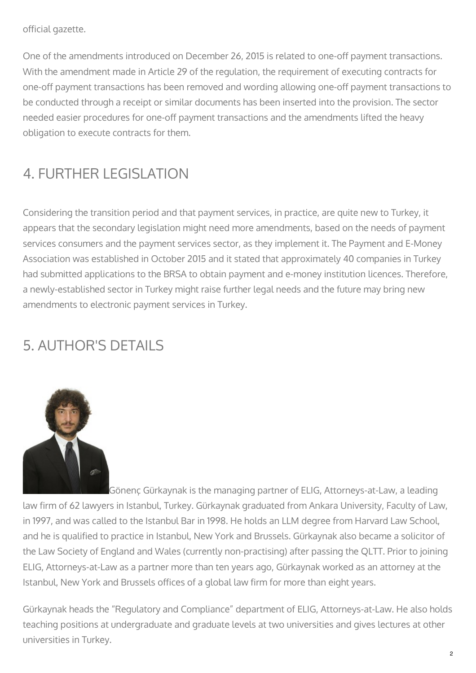official gazette.

One of the amendments introduced on December 26, 2015 is related to one-off payment transactions. With the amendment made in Article 29 of the regulation, the requirement of executing contracts for one-off payment transactions has been removed and wording allowing one-off payment transactions to be conducted through a receipt or similar documents has been inserted into the provision. The sector needed easier procedures for one-off payment transactions and the amendments lifted the heavy obligation to execute contracts for them.

# 4. FURTHER LEGISLATION

Considering the transition period and that payment services, in practice, are quite new to Turkey, it appears that the secondary legislation might need more amendments, based on the needs of payment services consumers and the payment services sector, as they implement it. The Payment and E-Money Association was established in October 2015 and it stated that approximately 40 companies in Turkey had submitted applications to the BRSA to obtain payment and e-money institution licences. Therefore, a newly-established sector in Turkey might raise further legal needs and the future may bring new amendments to electronic payment services in Turkey.

#### 5. AUTHOR'S DETAILS



Gönenç Gürkaynak is the managing partner of ELIG, Attorneys-at-Law, a leading law firm of 62 lawyers in Istanbul, Turkey. Gürkaynak graduated from Ankara University, Faculty of Law, in 1997, and was called to the Istanbul Bar in 1998. He holds an LLM degree from Harvard Law School, and he is qualified to practice in Istanbul, New York and Brussels. Gürkaynak also became a solicitor of the Law Society of England and Wales (currently non-practising) after passing the QLTT. Prior to joining ELIG, Attorneys-at-Law as a partner more than ten years ago, Gürkaynak worked as an attorney at the Istanbul, New York and Brussels offices of a global law firm for more than eight years.

Gürkaynak heads the "Regulatory and Compliance" department of ELIG, Attorneys-at-Law. He also holds teaching positions at undergraduate and graduate levels at two universities and gives lectures at other universities in Turkey.